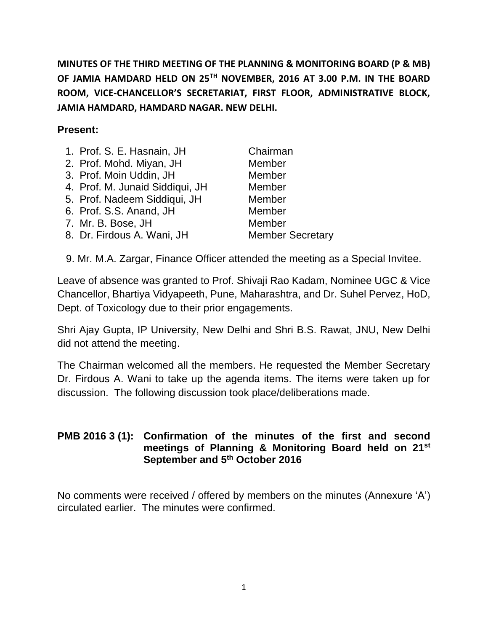**MINUTES OF THE THIRD MEETING OF THE PLANNING & MONITORING BOARD (P & MB) OF JAMIA HAMDARD HELD ON 25TH NOVEMBER, 2016 AT 3.00 P.M. IN THE BOARD ROOM, VICE-CHANCELLOR'S SECRETARIAT, FIRST FLOOR, ADMINISTRATIVE BLOCK, JAMIA HAMDARD, HAMDARD NAGAR. NEW DELHI.**

# **Present:**

- 1. Prof. S. E. Hasnain, JH Chairman 2. Prof. Mohd. Miyan, JH Member 3. Prof. Moin Uddin, JH 4. Prof. M. Junaid Siddiqui, JH Member Member 5. Prof. Nadeem Siddiqui, JH Member 6. Prof. S.S. Anand, JH Member 7. Mr. B. Bose, JH Member
- 8. Dr. Firdous A. Wani, JH Member Secretary

9. Mr. M.A. Zargar, Finance Officer attended the meeting as a Special Invitee.

Leave of absence was granted to Prof. Shivaji Rao Kadam, Nominee UGC & Vice Chancellor, Bhartiya Vidyapeeth, Pune, Maharashtra, and Dr. Suhel Pervez, HoD, Dept. of Toxicology due to their prior engagements.

Shri Ajay Gupta, IP University, New Delhi and Shri B.S. Rawat, JNU, New Delhi did not attend the meeting.

The Chairman welcomed all the members. He requested the Member Secretary Dr. Firdous A. Wani to take up the agenda items. The items were taken up for discussion. The following discussion took place/deliberations made.

#### **PMB 2016 3 (1): Confirmation of the minutes of the first and second meetings of Planning & Monitoring Board held on 21st September and 5th October 2016**

No comments were received / offered by members on the minutes (Annexure 'A') circulated earlier. The minutes were confirmed.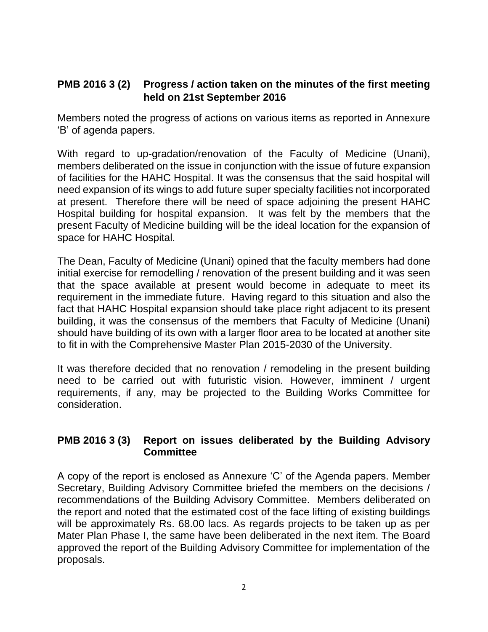# **PMB 2016 3 (2) Progress / action taken on the minutes of the first meeting held on 21st September 2016**

Members noted the progress of actions on various items as reported in Annexure 'B' of agenda papers.

With regard to up-gradation/renovation of the Faculty of Medicine (Unani), members deliberated on the issue in conjunction with the issue of future expansion of facilities for the HAHC Hospital. It was the consensus that the said hospital will need expansion of its wings to add future super specialty facilities not incorporated at present. Therefore there will be need of space adjoining the present HAHC Hospital building for hospital expansion. It was felt by the members that the present Faculty of Medicine building will be the ideal location for the expansion of space for HAHC Hospital.

The Dean, Faculty of Medicine (Unani) opined that the faculty members had done initial exercise for remodelling / renovation of the present building and it was seen that the space available at present would become in adequate to meet its requirement in the immediate future. Having regard to this situation and also the fact that HAHC Hospital expansion should take place right adjacent to its present building, it was the consensus of the members that Faculty of Medicine (Unani) should have building of its own with a larger floor area to be located at another site to fit in with the Comprehensive Master Plan 2015-2030 of the University.

It was therefore decided that no renovation / remodeling in the present building need to be carried out with futuristic vision. However, imminent / urgent requirements, if any, may be projected to the Building Works Committee for consideration.

# **PMB 2016 3 (3) Report on issues deliberated by the Building Advisory Committee**

A copy of the report is enclosed as Annexure 'C' of the Agenda papers. Member Secretary, Building Advisory Committee briefed the members on the decisions / recommendations of the Building Advisory Committee. Members deliberated on the report and noted that the estimated cost of the face lifting of existing buildings will be approximately Rs. 68.00 lacs. As regards projects to be taken up as per Mater Plan Phase I, the same have been deliberated in the next item. The Board approved the report of the Building Advisory Committee for implementation of the proposals.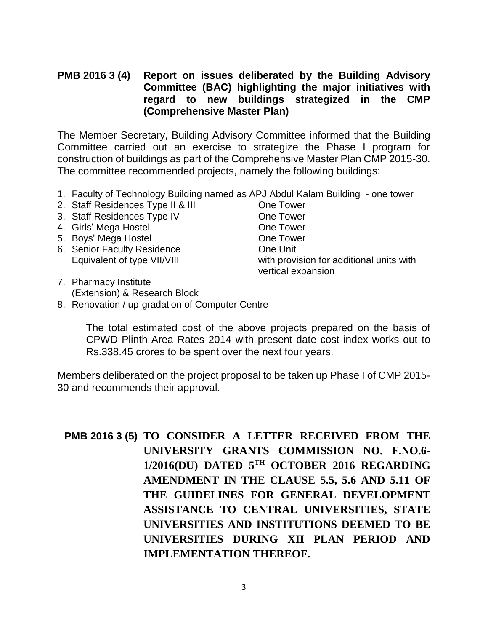# **PMB 2016 3 (4) Report on issues deliberated by the Building Advisory Committee (BAC) highlighting the major initiatives with regard to new buildings strategized in the CMP (Comprehensive Master Plan)**

The Member Secretary, Building Advisory Committee informed that the Building Committee carried out an exercise to strategize the Phase I program for construction of buildings as part of the Comprehensive Master Plan CMP 2015-30. The committee recommended projects, namely the following buildings:

- 1. Faculty of Technology Building named as APJ Abdul Kalam Building one tower
- 2. Staff Residences Type II & III Chapter Cone Tower
- 3. Staff Residences Type IV Cone Tower
- 4. Girls' Mega Hostel **Communist Communist Communist Communist Communist Communist Communist Communist Communist Communist Communist Communist Communist Communist Communist Communist Communist Communist Communist Communist**
- 5. Boys' Mega Hostel **Department Cone Tower**
- 6. Senior Faculty Residence **Connect Cone Unit**
- 7. Pharmacy Institute (Extension) & Research Block

Equivalent of type VII/VIII with provision for additional units with vertical expansion

8. Renovation / up-gradation of Computer Centre

The total estimated cost of the above projects prepared on the basis of CPWD Plinth Area Rates 2014 with present date cost index works out to Rs.338.45 crores to be spent over the next four years.

Members deliberated on the project proposal to be taken up Phase I of CMP 2015- 30 and recommends their approval.

**PMB 2016 3 (5) TO CONSIDER A LETTER RECEIVED FROM THE UNIVERSITY GRANTS COMMISSION NO. F.NO.6- 1/2016(DU) DATED 5TH OCTOBER 2016 REGARDING AMENDMENT IN THE CLAUSE 5.5, 5.6 AND 5.11 OF THE GUIDELINES FOR GENERAL DEVELOPMENT ASSISTANCE TO CENTRAL UNIVERSITIES, STATE UNIVERSITIES AND INSTITUTIONS DEEMED TO BE UNIVERSITIES DURING XII PLAN PERIOD AND IMPLEMENTATION THEREOF.**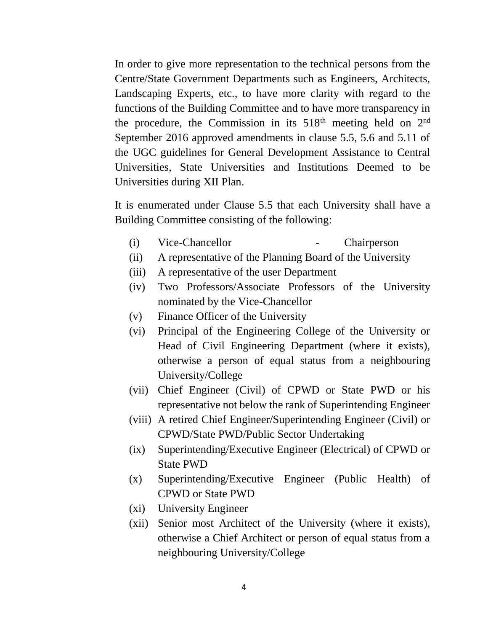In order to give more representation to the technical persons from the Centre/State Government Departments such as Engineers, Architects, Landscaping Experts, etc., to have more clarity with regard to the functions of the Building Committee and to have more transparency in the procedure, the Commission in its  $518<sup>th</sup>$  meeting held on  $2<sup>nd</sup>$ September 2016 approved amendments in clause 5.5, 5.6 and 5.11 of the UGC guidelines for General Development Assistance to Central Universities, State Universities and Institutions Deemed to be Universities during XII Plan.

It is enumerated under Clause 5.5 that each University shall have a Building Committee consisting of the following:

- (i) Vice-Chancellor Chairperson
- (ii) A representative of the Planning Board of the University
- (iii) A representative of the user Department
- (iv) Two Professors/Associate Professors of the University nominated by the Vice-Chancellor
- (v) Finance Officer of the University
- (vi) Principal of the Engineering College of the University or Head of Civil Engineering Department (where it exists), otherwise a person of equal status from a neighbouring University/College
- (vii) Chief Engineer (Civil) of CPWD or State PWD or his representative not below the rank of Superintending Engineer
- (viii) A retired Chief Engineer/Superintending Engineer (Civil) or CPWD/State PWD/Public Sector Undertaking
- (ix) Superintending/Executive Engineer (Electrical) of CPWD or State PWD
- (x) Superintending/Executive Engineer (Public Health) of CPWD or State PWD
- (xi) University Engineer
- (xii) Senior most Architect of the University (where it exists), otherwise a Chief Architect or person of equal status from a neighbouring University/College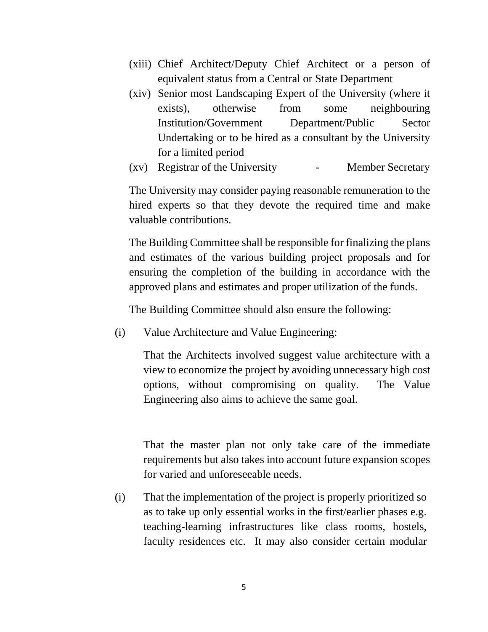- (xiii) Chief Architect/Deputy Chief Architect or a person of equivalent status from a Central or State Department
- (xiv) Senior most Landscaping Expert of the University (where it exists), otherwise from some neighbouring Institution/Government Department/Public Sector Undertaking or to be hired as a consultant by the University for a limited period
- (xv) Registrar of the University Member Secretary

The University may consider paying reasonable remuneration to the hired experts so that they devote the required time and make valuable contributions.

The Building Committee shall be responsible for finalizing the plans and estimates of the various building project proposals and for ensuring the completion of the building in accordance with the approved plans and estimates and proper utilization of the funds.

The Building Committee should also ensure the following:

(i) Value Architecture and Value Engineering:

That the Architects involved suggest value architecture with a view to economize the project by avoiding unnecessary high cost options, without compromising on quality. The Value Engineering also aims to achieve the same goal.

That the master plan not only take care of the immediate requirements but also takes into account future expansion scopes for varied and unforeseeable needs.

(i) That the implementation of the project is properly prioritized so as to take up only essential works in the first/earlier phases e.g. teaching-learning infrastructures like class rooms, hostels, faculty residences etc. It may also consider certain modular